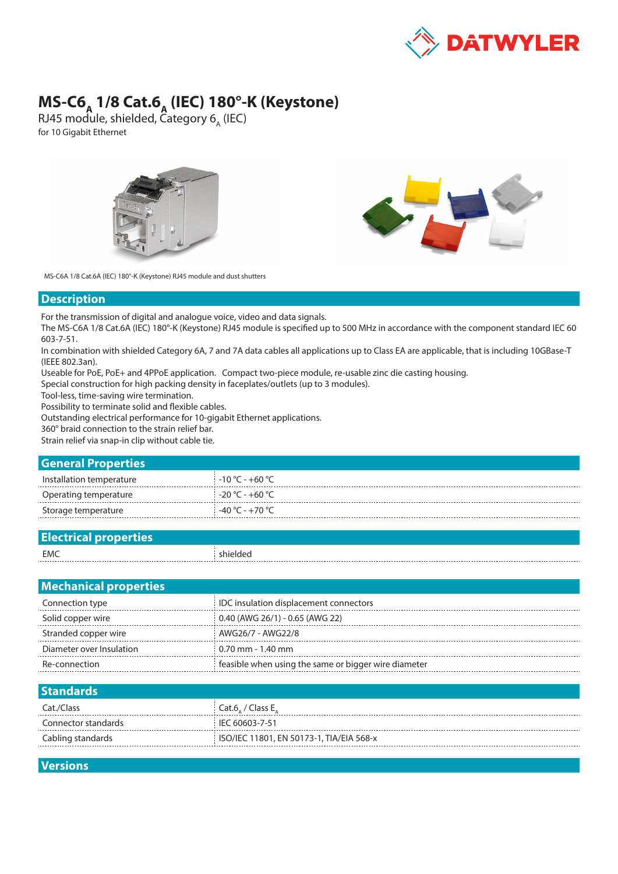

## **MS-C6<sub>A</sub> 1/8 Cat.6<sub>A</sub> (IEC) 180°-K (Keystone)**

RJ45 module, shielded,  $\tilde{\mathsf{C}}$ ategory 6<sub>A</sub> (IEC) for 10 Gigabit Ethernet





MS-C6A 1/8 Cat.6A (IEC) 180°-K (Keystone) RJ45 module and dust shutters

## **Description**

For the transmission of digital and analogue voice, video and data signals.

The MS-C6A 1/8 Cat.6A (IEC) 180°-K (Keystone) RJ45 module is specified up to 500 MHz in accordance with the component standard IEC 60 603-7-51.

In combination with shielded Category 6A, 7 and 7A data cables all applications up to Class EA are applicable, that is including 10GBase-T (IEEE 802.3an).

Useable for PoE, PoE+ and 4PPoE application. Compact two-piece module, re-usable zinc die casting housing.

Special construction for high packing density in faceplates/outlets (up to 3 modules).

Tool-less, time-saving wire termination.

Possibility to terminate solid and flexible cables.

Outstanding electrical performance for 10-gigabit Ethernet applications.

360° braid connection to the strain relief bar.

Strain relief via snap-in clip without cable tie.

## **General Properties**

| Installation temperature | $-10\degree$ C - +60 $\degree$ C $-$ |
|--------------------------|--------------------------------------|
| Operating temperature    | $-20$ °C - +60 °C                    |
| Storage temperature      | -40 °C - +70 °C                      |
|                          |                                      |

| هFla<br>properties:<br><u>shedurdar properud</u> |          |
|--------------------------------------------------|----------|
| EMC                                              | shieldec |
| .                                                | .        |

| <b>Mechanical properties</b> |                                                      |  |  |  |
|------------------------------|------------------------------------------------------|--|--|--|
| Connection type              | IDC insulation displacement connectors               |  |  |  |
| Solid copper wire            | $0.40$ (AWG 26/1) - 0.65 (AWG 22)                    |  |  |  |
| Stranded copper wire         | AWG26/7 - AWG22/8                                    |  |  |  |
| Diameter over Insulation     | $0.70$ mm - 1.40 mm                                  |  |  |  |
| Re-connection                | feasible when using the same or bigger wire diameter |  |  |  |

| <b>Standards</b>    |                                            |
|---------------------|--------------------------------------------|
| Cat./Class          | Cat.6, / Class E.                          |
| Connector standards | : IEC 60603-7-51                           |
| Cabling standards   | i ISO/IEC 11801, EN 50173-1, TIA/EIA 568-x |
|                     |                                            |

**Versions**